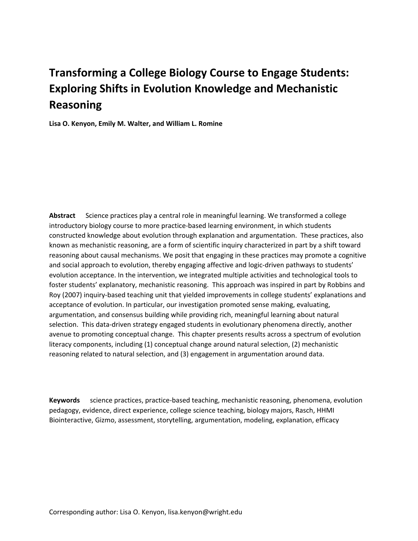# **Transforming a College Biology Course to Engage Students: Exploring Shifts in Evolution Knowledge and Mechanistic Reasoning**

**Lisa O. Kenyon, Emily M. Walter, and William L. Romine**

**Abstract** Science practices play a central role in meaningful learning. We transformed a college introductory biology course to more practice-based learning environment, in which students constructed knowledge about evolution through explanation and argumentation. These practices, also known as mechanistic reasoning, are a form of scientific inquiry characterized in part by a shift toward reasoning about causal mechanisms. We posit that engaging in these practices may promote a cognitive and social approach to evolution, thereby engaging affective and logic-driven pathways to students' evolution acceptance. In the intervention, we integrated multiple activities and technological tools to foster students' explanatory, mechanistic reasoning. This approach was inspired in part by Robbins and Roy (2007) inquiry-based teaching unit that yielded improvements in college students' explanations and acceptance of evolution. In particular, our investigation promoted sense making, evaluating, argumentation, and consensus building while providing rich, meaningful learning about natural selection. This data-driven strategy engaged students in evolutionary phenomena directly, another avenue to promoting conceptual change. This chapter presents results across a spectrum of evolution literacy components, including (1) conceptual change around natural selection, (2) mechanistic reasoning related to natural selection, and (3) engagement in argumentation around data.

**Keywords** science practices, practice-based teaching, mechanistic reasoning, phenomena, evolution pedagogy, evidence, direct experience, college science teaching, biology majors, Rasch, HHMI Biointeractive, Gizmo, assessment, storytelling, argumentation, modeling, explanation, efficacy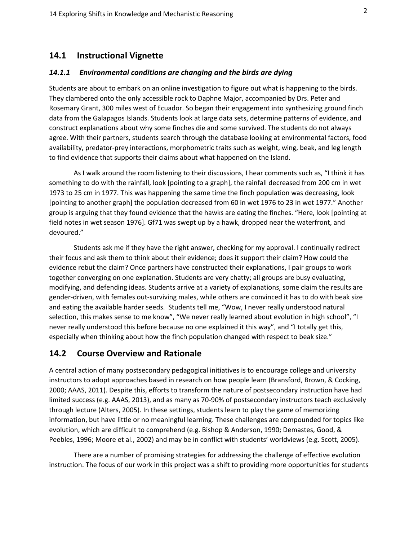#### **14.1 Instructional Vignette**

#### *14.1.1 Environmental conditions are changing and the birds are dying*

Students are about to embark on an online investigation to figure out what is happening to the birds. They clambered onto the only accessible rock to Daphne Major, accompanied by Drs. Peter and Rosemary Grant, 300 miles west of Ecuador. So began their engagement into synthesizing ground finch data from the Galapagos Islands. Students look at large data sets, determine patterns of evidence, and construct explanations about why some finches die and some survived. The students do not always agree. With their partners, students search through the database looking at environmental factors, food availability, predator-prey interactions, morphometric traits such as weight, wing, beak, and leg length to find evidence that supports their claims about what happened on the Island.

As I walk around the room listening to their discussions, I hear comments such as, "I think it has something to do with the rainfall, look [pointing to a graph], the rainfall decreased from 200 cm in wet 1973 to 25 cm in 1977. This was happening the same time the finch population was decreasing, look [pointing to another graph] the population decreased from 60 in wet 1976 to 23 in wet 1977." Another group is arguing that they found evidence that the hawks are eating the finches. "Here, look [pointing at field notes in wet season 1976]. Gf71 was swept up by a hawk, dropped near the waterfront, and devoured."

Students ask me if they have the right answer, checking for my approval. I continually redirect their focus and ask them to think about their evidence; does it support their claim? How could the evidence rebut the claim? Once partners have constructed their explanations, I pair groups to work together converging on one explanation. Students are very chatty; all groups are busy evaluating, modifying, and defending ideas. Students arrive at a variety of explanations, some claim the results are gender-driven, with females out-surviving males, while others are convinced it has to do with beak size and eating the available harder seeds. Students tell me, "Wow, I never really understood natural selection, this makes sense to me know", "We never really learned about evolution in high school", "I never really understood this before because no one explained it this way", and "I totally get this, especially when thinking about how the finch population changed with respect to beak size."

## **14.2 Course Overview and Rationale**

A central action of many postsecondary pedagogical initiatives is to encourage college and university instructors to adopt approaches based in research on how people learn (Bransford, Brown, & Cocking, 2000; AAAS, 2011). Despite this, efforts to transform the nature of postsecondary instruction have had limited success (e.g. AAAS, 2013), and as many as 70-90% of postsecondary instructors teach exclusively through lecture (Alters, 2005). In these settings, students learn to play the game of memorizing information, but have little or no meaningful learning. These challenges are compounded for topics like evolution, which are difficult to comprehend (e.g. Bishop & Anderson, 1990; Demastes, Good, & Peebles, 1996; Moore et al., 2002) and may be in conflict with students' worldviews (e.g. Scott, 2005).

There are a number of promising strategies for addressing the challenge of effective evolution instruction. The focus of our work in this project was a shift to providing more opportunities for students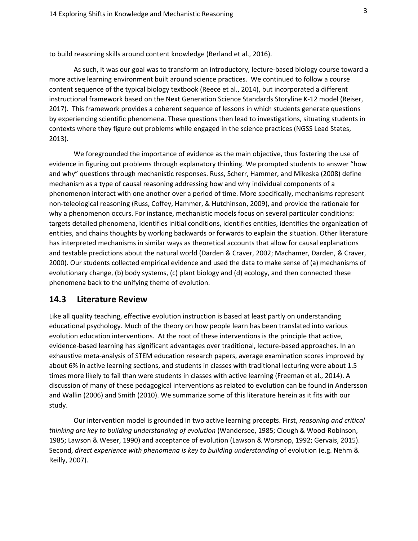to build reasoning skills around content knowledge (Berland et al., 2016).

As such, it was our goal was to transform an introductory, lecture-based biology course toward a more active learning environment built around science practices. We continued to follow a course content sequence of the typical biology textbook (Reece et al., 2014), but incorporated a different instructional framework based on the Next Generation Science Standards Storyline K-12 model (Reiser, 2017). This framework provides a coherent sequence of lessons in which students generate questions by experiencing scientific phenomena. These questions then lead to investigations, situating students in contexts where they figure out problems while engaged in the science practices (NGSS Lead States, 2013).

We foregrounded the importance of evidence as the main objective, thus fostering the use of evidence in figuring out problems through explanatory thinking. We prompted students to answer "how and why" questions through mechanistic responses. Russ, Scherr, Hammer, and Mikeska (2008) define mechanism as a type of causal reasoning addressing how and why individual components of a phenomenon interact with one another over a period of time. More specifically, mechanisms represent non-teleological reasoning (Russ, Coffey, Hammer, & Hutchinson, 2009), and provide the rationale for why a phenomenon occurs. For instance, mechanistic models focus on several particular conditions: targets detailed phenomena, identifies initial conditions, identifies entities, identifies the organization of entities, and chains thoughts by working backwards or forwards to explain the situation. Other literature has interpreted mechanisms in similar ways as theoretical accounts that allow for causal explanations and testable predictions about the natural world (Darden & Craver, 2002; Machamer, Darden, & Craver, 2000). Our students collected empirical evidence and used the data to make sense of (a) mechanisms of evolutionary change, (b) body systems, (c) plant biology and (d) ecology, and then connected these phenomena back to the unifying theme of evolution.

#### **14.3 Literature Review**

Like all quality teaching, effective evolution instruction is based at least partly on understanding educational psychology. Much of the theory on how people learn has been translated into various evolution education interventions. At the root of these interventions is the principle that active, evidence-based learning has significant advantages over traditional, lecture-based approaches. In an exhaustive meta-analysis of STEM education research papers, average examination scores improved by about 6% in active learning sections, and students in classes with traditional lecturing were about 1.5 times more likely to fail than were students in classes with active learning (Freeman et al., 2014). A discussion of many of these pedagogical interventions as related to evolution can be found in Andersson and Wallin (2006) and Smith (2010). We summarize some of this literature herein as it fits with our study.

Our intervention model is grounded in two active learning precepts. First, *reasoning and critical thinking are key to building understanding of evolution* (Wandersee, 1985; Clough & Wood-Robinson, 1985; Lawson & Weser, 1990) and acceptance of evolution (Lawson & Worsnop, 1992; Gervais, 2015). Second, *direct experience with phenomena is key to building understanding* of evolution (e.g. Nehm & Reilly, 2007).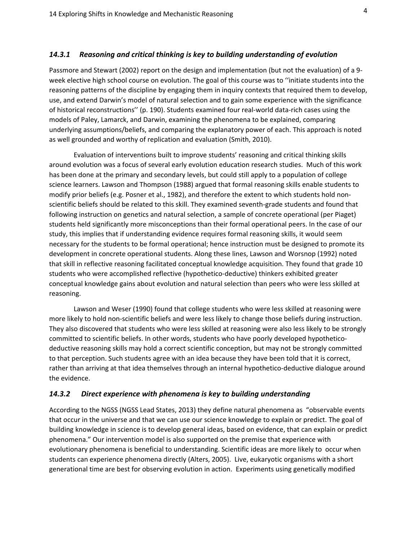# *14.3.1 Reasoning and critical thinking is key to building understanding of evolution*

Passmore and Stewart (2002) report on the design and implementation (but not the evaluation) of a 9 week elective high school course on evolution. The goal of this course was to ''initiate students into the reasoning patterns of the discipline by engaging them in inquiry contexts that required them to develop, use, and extend Darwin's model of natural selection and to gain some experience with the significance of historical reconstructions'' (p. 190). Students examined four real-world data-rich cases using the models of Paley, Lamarck, and Darwin, examining the phenomena to be explained, comparing underlying assumptions/beliefs, and comparing the explanatory power of each. This approach is noted as well grounded and worthy of replication and evaluation (Smith, 2010).

Evaluation of interventions built to improve students' reasoning and critical thinking skills around evolution was a focus of several early evolution education research studies. Much of this work has been done at the primary and secondary levels, but could still apply to a population of college science learners. Lawson and Thompson (1988) argued that formal reasoning skills enable students to modify prior beliefs (e.g. Posner et al., 1982), and therefore the extent to which students hold nonscientific beliefs should be related to this skill. They examined seventh-grade students and found that following instruction on genetics and natural selection, a sample of concrete operational (per Piaget) students held significantly more misconceptions than their formal operational peers. In the case of our study, this implies that if understanding evidence requires formal reasoning skills, it would seem necessary for the students to be formal operational; hence instruction must be designed to promote its development in concrete operational students. Along these lines, Lawson and Worsnop (1992) noted that skill in reflective reasoning facilitated conceptual knowledge acquisition. They found that grade 10 students who were accomplished reflective (hypothetico-deductive) thinkers exhibited greater conceptual knowledge gains about evolution and natural selection than peers who were less skilled at reasoning.

Lawson and Weser (1990) found that college students who were less skilled at reasoning were more likely to hold non-scientific beliefs and were less likely to change those beliefs during instruction. They also discovered that students who were less skilled at reasoning were also less likely to be strongly committed to scientific beliefs. In other words, students who have poorly developed hypotheticodeductive reasoning skills may hold a correct scientific conception, but may not be strongly committed to that perception. Such students agree with an idea because they have been told that it is correct, rather than arriving at that idea themselves through an internal hypothetico-deductive dialogue around the evidence.

#### *14.3.2 Direct experience with phenomena is key to building understanding*

According to the NGSS (NGSS Lead States, 2013) they define natural phenomena as "observable events that occur in the universe and that we can use our science knowledge to explain or predict. The goal of building knowledge in science is to develop general ideas, based on evidence, that can explain or predict phenomena." Our intervention model is also supported on the premise that experience with evolutionary phenomena is beneficial to understanding. Scientific ideas are more likely to occur when students can experience phenomena directly (Alters, 2005). Live, eukaryotic organisms with a short generational time are best for observing evolution in action. Experiments using genetically modified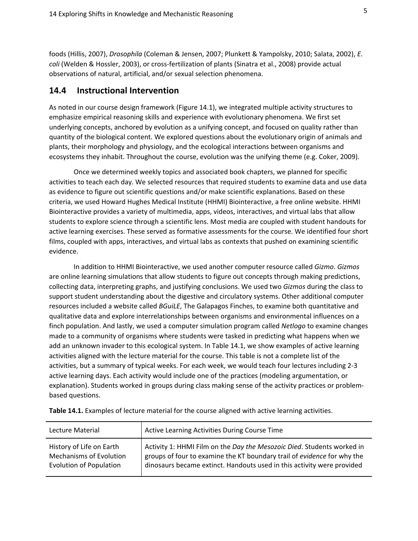foods (Hillis, 2007), *Drosophila* (Coleman & Jensen, 2007; Plunkett & Yampolsky, 2010; Salata, 2002), *E. coli* (Welden & Hossler, 2003), or cross-fertilization of plants (Sinatra et al., 2008) provide actual observations of natural, artificial, and/or sexual selection phenomena.

## **14.4 Instructional Intervention**

As noted in our course design framework (Figure 14.1), we integrated multiple activity structures to emphasize empirical reasoning skills and experience with evolutionary phenomena. We first set underlying concepts, anchored by evolution as a unifying concept, and focused on quality rather than quantity of the biological content. We explored questions about the evolutionary origin of animals and plants, their morphology and physiology, and the ecological interactions between organisms and ecosystems they inhabit. Throughout the course, evolution was the unifying theme (e.g. Coker, 2009).

Once we determined weekly topics and associated book chapters, we planned for specific activities to teach each day. We selected resources that required students to examine data and use data as evidence to figure out scientific questions and/or make scientific explanations. Based on these criteria, we used Howard Hughes Medical Institute (HHMI) Biointeractive, a free online website. HHMI Biointeractive provides a variety of multimedia, apps, videos, interactives, and virtual labs that allow students to explore science through a scientific lens. Most media are coupled with student handouts for active learning exercises. These served as formative assessments for the course. We identified four short films, coupled with apps, interactives, and virtual labs as contexts that pushed on examining scientific evidence.

In addition to HHMI Biointeractive, we used another computer resource called *Gizmo*. *Gizmos* are online learning simulations that allow students to figure out concepts through making predictions, collecting data, interpreting graphs, and justifying conclusions. We used two *Gizmos* during the class to support student understanding about the digestive and circulatory systems. Other additional computer resources included a website called *BGuiLE*, The Galapagos Finches, to examine both quantitative and qualitative data and explore interrelationships between organisms and environmental influences on a finch population. And lastly, we used a computer simulation program called *Netlogo* to examine changes made to a community of organisms where students were tasked in predicting what happens when we add an unknown invader to this ecological system. In Table 14.1, we show examples of active learning activities aligned with the lecture material for the course. This table is not a complete list of the activities, but a summary of typical weeks. For each week, we would teach four lectures including 2-3 active learning days. Each activity would include one of the practices (modeling argumentation, or explanation). Students worked in groups during class making sense of the activity practices or problembased questions.

| Lecture Material               | Active Learning Activities During Course Time                           |
|--------------------------------|-------------------------------------------------------------------------|
| History of Life on Earth       | Activity 1: HHMI Film on the Day the Mesozoic Died. Students worked in  |
| <b>Mechanisms of Evolution</b> | groups of four to examine the KT boundary trail of evidence for why the |
| <b>Evolution of Population</b> | dinosaurs became extinct. Handouts used in this activity were provided  |

**Table 14.1.** Examples of lecture material for the course aligned with active learning activities.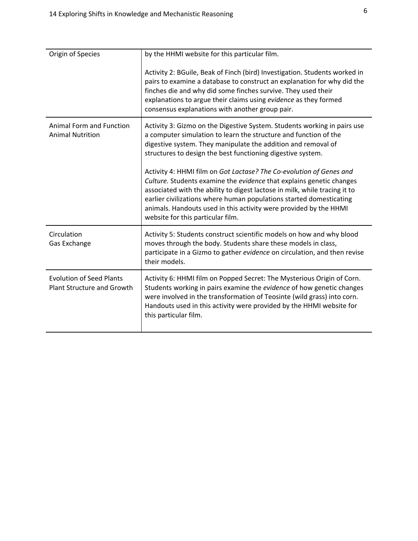| Origin of Species                                             | by the HHMI website for this particular film.                                                                                                                                                                                                                                                                                                                                                                               |  |  |  |  |
|---------------------------------------------------------------|-----------------------------------------------------------------------------------------------------------------------------------------------------------------------------------------------------------------------------------------------------------------------------------------------------------------------------------------------------------------------------------------------------------------------------|--|--|--|--|
|                                                               | Activity 2: BGuile, Beak of Finch (bird) Investigation. Students worked in<br>pairs to examine a database to construct an explanation for why did the<br>finches die and why did some finches survive. They used their<br>explanations to argue their claims using evidence as they formed<br>consensus explanations with another group pair.                                                                               |  |  |  |  |
| Animal Form and Function<br><b>Animal Nutrition</b>           | Activity 3: Gizmo on the Digestive System. Students working in pairs use<br>a computer simulation to learn the structure and function of the<br>digestive system. They manipulate the addition and removal of<br>structures to design the best functioning digestive system.<br>Activity 4: HHMI film on Got Lactase? The Co-evolution of Genes and<br>Culture. Students examine the evidence that explains genetic changes |  |  |  |  |
|                                                               | associated with the ability to digest lactose in milk, while tracing it to<br>earlier civilizations where human populations started domesticating<br>animals. Handouts used in this activity were provided by the HHMI<br>website for this particular film.                                                                                                                                                                 |  |  |  |  |
| Circulation<br>Gas Exchange                                   | Activity 5: Students construct scientific models on how and why blood<br>moves through the body. Students share these models in class,<br>participate in a Gizmo to gather evidence on circulation, and then revise<br>their models.                                                                                                                                                                                        |  |  |  |  |
| <b>Evolution of Seed Plants</b><br>Plant Structure and Growth | Activity 6: HHMI film on Popped Secret: The Mysterious Origin of Corn.<br>Students working in pairs examine the evidence of how genetic changes<br>were involved in the transformation of Teosinte (wild grass) into corn.<br>Handouts used in this activity were provided by the HHMI website for<br>this particular film.                                                                                                 |  |  |  |  |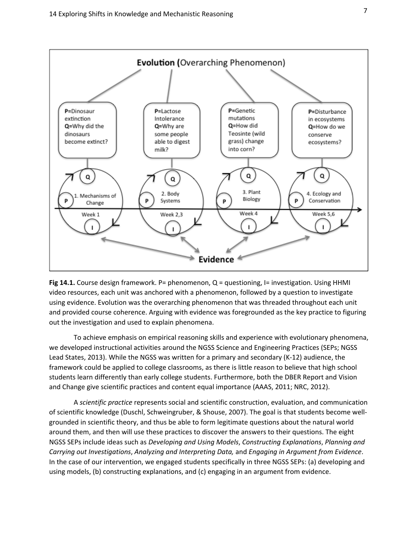

**Fig 14.1.** Course design framework. P= phenomenon, Q = questioning, I= investigation. Using HHMI video resources, each unit was anchored with a phenomenon, followed by a question to investigate using evidence. Evolution was the overarching phenomenon that was threaded throughout each unit and provided course coherence. Arguing with evidence was foregrounded as the key practice to figuring out the investigation and used to explain phenomena.

To achieve emphasis on empirical reasoning skills and experience with evolutionary phenomena, we developed instructional activities around the NGSS Science and Engineering Practices (SEPs; NGSS Lead States, 2013). While the NGSS was written for a primary and secondary (K-12) audience, the framework could be applied to college classrooms, as there is little reason to believe that high school students learn differently than early college students. Furthermore, both the DBER Report and Vision and Change give scientific practices and content equal importance (AAAS, 2011; NRC, 2012).

A *scientific practice* represents social and scientific construction, evaluation, and communication of scientific knowledge (Duschl, Schweingruber, & Shouse, 2007). The goal is that students become wellgrounded in scientific theory, and thus be able to form legitimate questions about the natural world around them, and then will use these practices to discover the answers to their questions. The eight NGSS SEPs include ideas such as *Developing and Using Models*, *Constructing Explanations*, *Planning and*  Carrying out Investigations, Analyzing and Interpreting Data, and Engaging in Argument from Evidence.<br>In the case of our intervention, we engaged students specifically in three NGSS SEPs: (a) developing and using models, (b) constructing explanations, and (c) engaging in an argument from evidence.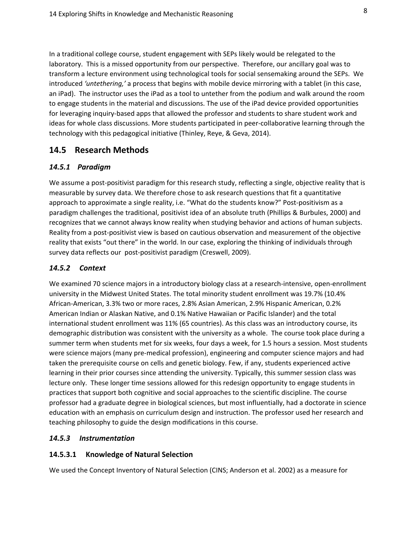In a traditional college course, student engagement with SEPs likely would be relegated to the laboratory. This is a missed opportunity from our perspective. Therefore, our ancillary goal was to transform a lecture environment using technological tools for social sensemaking around the SEPs. We introduced *'untethering,'* a process that begins with mobile device mirroring with a tablet (in this case, an iPad). The instructor uses the iPad as a tool to untether from the podium and walk around the room to engage students in the material and discussions. The use of the iPad device provided opportunities for leveraging inquiry-based apps that allowed the professor and students to share student work and ideas for whole class discussions. More students participated in peer-collaborative learning through the technology with this pedagogical initiative (Thinley, Reye, & Geva, 2014).

# **14.5 Research Methods**

#### *14.5.1 Paradigm*

We assume a post-positivist paradigm for this research study, reflecting a single, objective reality that is measurable by survey data. We therefore chose to ask research questions that fit a quantitative approach to approximate a single reality, i.e. "What do the students know?" Post-positivism as a paradigm challenges the traditional, positivist idea of an absolute truth (Phillips & Burbules, 2000) and recognizes that we cannot always know reality when studying behavior and actions of human subjects. Reality from a post-positivist view is based on cautious observation and measurement of the objective reality that exists "out there" in the world. In our case, exploring the thinking of individuals through survey data reflects our post-positivist paradigm (Creswell, 2009).

#### *14.5.2 Context*

We examined 70 science majors in a introductory biology class at a research-intensive, open-enrollment university in the Midwest United States. The total minority student enrollment was 19.7% (10.4% African-American, 3.3% two or more races, 2.8% Asian American, 2.9% Hispanic American, 0.2% American Indian or Alaskan Native, and 0.1% Native Hawaiian or Pacific Islander) and the total international student enrollment was 11% (65 countries). As this class was an introductory course, its demographic distribution was consistent with the university as a whole. The course took place during a summer term when students met for six weeks, four days a week, for 1.5 hours a session. Most students were science majors (many pre-medical profession), engineering and computer science majors and had taken the prerequisite course on cells and genetic biology. Few, if any, students experienced active learning in their prior courses since attending the university. Typically, this summer session class was lecture only. These longer time sessions allowed for this redesign opportunity to engage students in practices that support both cognitive and social approaches to the scientific discipline. The course professor had a graduate degree in biological sciences, but most influentially, had a doctorate in science education with an emphasis on curriculum design and instruction. The professor used her research and teaching philosophy to guide the design modifications in this course.

#### *14.5.3 Instrumentation*

#### **14.5.3.1 Knowledge of Natural Selection**

We used the Concept Inventory of Natural Selection (CINS; Anderson et al. 2002) as a measure for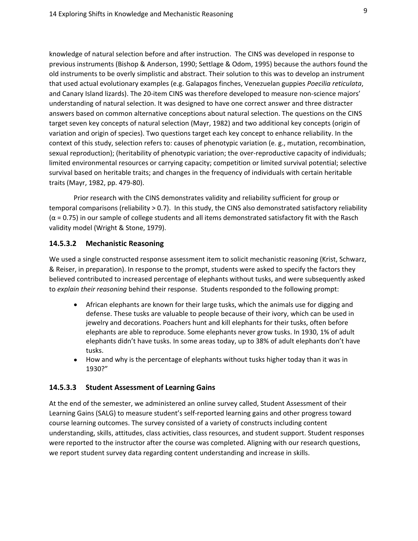knowledge of natural selection before and after instruction. The CINS was developed in response to previous instruments (Bishop & Anderson, 1990; Settlage & Odom, 1995) because the authors found the old instruments to be overly simplistic and abstract. Their solution to this was to develop an instrument that used actual evolutionary examples (e.g. Galapagos finches, Venezuelan guppies *Poecilia reticulata*, and Canary Island lizards). The 20-item CINS was therefore developed to measure non-science majors' understanding of natural selection. It was designed to have one correct answer and three distracter answers based on common alternative conceptions about natural selection. The questions on the CINS target seven key concepts of natural selection (Mayr, 1982) and two additional key concepts (origin of variation and origin of species). Two questions target each key concept to enhance reliability. In the context of this study, selection refers to: causes of phenotypic variation (e. g., mutation, recombination, sexual reproduction); (heritability of phenotypic variation; the over-reproductive capacity of individuals; limited environmental resources or carrying capacity; competition or limited survival potential; selective survival based on heritable traits; and changes in the frequency of individuals with certain heritable traits (Mayr, 1982, pp. 479-80).

Prior research with the CINS demonstrates validity and reliability sufficient for group or temporal comparisons (reliability > 0.7). In this study, the CINS also demonstrated satisfactory reliability  $(\alpha = 0.75)$  in our sample of college students and all items demonstrated satisfactory fit with the Rasch validity model (Wright & Stone, 1979).

#### **14.5.3.2 Mechanistic Reasoning**

We used a single constructed response assessment item to solicit mechanistic reasoning (Krist, Schwarz, & Reiser, in preparation). In response to the prompt, students were asked to specify the factors they believed contributed to increased percentage of elephants without tusks, and were subsequently asked to *explain their reasoning* behind their response. Students responded to the following prompt:

- African elephants are known for their large tusks, which the animals use for digging and defense. These tusks are valuable to people because of their ivory, which can be used in jewelry and decorations. Poachers hunt and kill elephants for their tusks, often before elephants are able to reproduce. Some elephants never grow tusks. In 1930, 1% of adult elephants didn't have tusks. In some areas today, up to 38% of adult elephants don't have tusks.
- How and why is the percentage of elephants without tusks higher today than it was in 1930?"

#### **14.5.3.3 Student Assessment of Learning Gains**

At the end of the semester, we administered an online survey called, Student Assessment of their Learning Gains (SALG) to measure student's self-reported learning gains and other progress toward course learning outcomes. The survey consisted of a variety of constructs including content understanding, skills, attitudes, class activities, class resources, and student support. Student responses were reported to the instructor after the course was completed. Aligning with our research questions, we report student survey data regarding content understanding and increase in skills.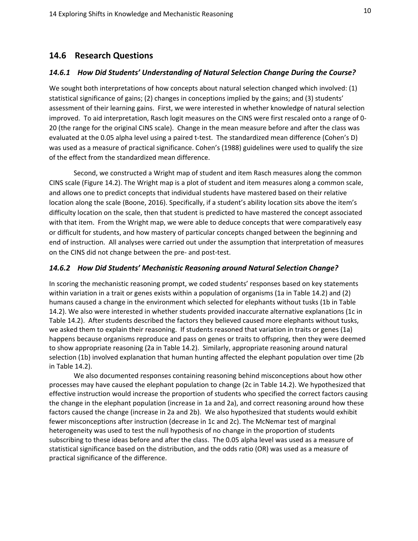# **14.6 Research Questions**

#### *14.6.1 How Did Students' Understanding of Natural Selection Change During the Course?*

We sought both interpretations of how concepts about natural selection changed which involved: (1) statistical significance of gains; (2) changes in conceptions implied by the gains; and (3) students' assessment of their learning gains. First, we were interested in whether knowledge of natural selection improved. To aid interpretation, Rasch logit measures on the CINS were first rescaled onto a range of 0- 20 (the range for the original CINS scale). Change in the mean measure before and after the class was evaluated at the 0.05 alpha level using a paired t-test. The standardized mean difference (Cohen's D) was used as a measure of practical significance. Cohen's (1988) guidelines were used to qualify the size of the effect from the standardized mean difference.

Second, we constructed a Wright map of student and item Rasch measures along the common CINS scale (Figure 14.2). The Wright map is a plot of student and item measures along a common scale, and allows one to predict concepts that individual students have mastered based on their relative location along the scale (Boone, 2016). Specifically, if a student's ability location sits above the item's difficulty location on the scale, then that student is predicted to have mastered the concept associated with that item. From the Wright map, we were able to deduce concepts that were comparatively easy or difficult for students, and how mastery of particular concepts changed between the beginning and end of instruction. All analyses were carried out under the assumption that interpretation of measures on the CINS did not change between the pre- and post-test.

#### *14.6.2 How Did Students' Mechanistic Reasoning around Natural Selection Change?*

In scoring the mechanistic reasoning prompt, we coded students' responses based on key statements within variation in a trait or genes exists within a population of organisms (1a in Table 14.2) and (2) humans caused a change in the environment which selected for elephants without tusks (1b in Table 14.2). We also were interested in whether students provided inaccurate alternative explanations (1c in Table 14.2). After students described the factors they believed caused more elephants without tusks, we asked them to explain their reasoning. If students reasoned that variation in traits or genes (1a) happens because organisms reproduce and pass on genes or traits to offspring, then they were deemed to show appropriate reasoning (2a in Table 14.2). Similarly, appropriate reasoning around natural selection (1b) involved explanation that human hunting affected the elephant population over time (2b in Table 14.2).

We also documented responses containing reasoning behind misconceptions about how other processes may have caused the elephant population to change (2c in Table 14.2). We hypothesized that effective instruction would increase the proportion of students who specified the correct factors causing the change in the elephant population (increase in 1a and 2a), and correct reasoning around how these factors caused the change (increase in 2a and 2b). We also hypothesized that students would exhibit fewer misconceptions after instruction (decrease in 1c and 2c). The McNemar test of marginal heterogeneity was used to test the null hypothesis of no change in the proportion of students subscribing to these ideas before and after the class. The 0.05 alpha level was used as a measure of statistical significance based on the distribution, and the odds ratio (OR) was used as a measure of practical significance of the difference.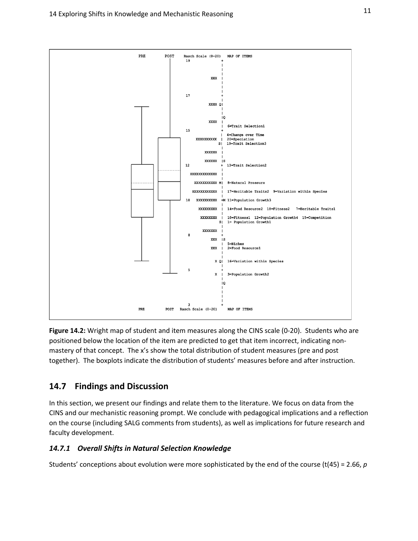

**Figure 14.2:** Wright map of student and item measures along the CINS scale (0-20). Students who are positioned below the location of the item are predicted to get that item incorrect, indicating nonmastery of that concept. The x's show the total distribution of student measures (pre and post together). The boxplots indicate the distribution of students' measures before and after instruction.

# **14.7 Findings and Discussion**

In this section, we present our findings and relate them to the literature. We focus on data from the CINS and our mechanistic reasoning prompt. We conclude with pedagogical implications and a reflection on the course (including SALG comments from students), as well as implications for future research and faculty development.

# *14.7.1 Overall Shifts in Natural Selection Knowledge*

Students' conceptions about evolution were more sophisticated by the end of the course (t(45) = 2.66, *p*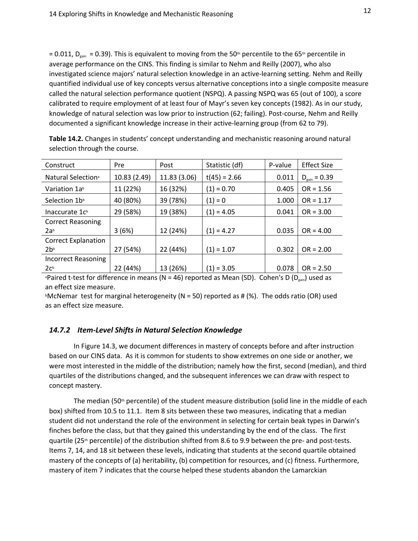= 0.011, D<sub>gain</sub> = 0.39). This is equivalent to moving from the 50<sup>th</sup> percentile to the 65<sup>th</sup> percentile in average performance on the CINS. This finding is similar to Nehm and Reilly (2007), who also investigated science majors' natural selection knowledge in an active-learning setting. Nehm and Reilly quantified individual use of key concepts versus alternative conceptions into a single composite measure called the natural selection performance quotient (NSPQ). A passing NSPQ was 65 (out of 100), a score calibrated to require employment of at least four of Mayr's seven key concepts (1982). As in our study, knowledge of natural selection was low prior to instruction (62; failing). Post-course, Nehm and Reilly documented a significant knowledge increase in their active-learning group (from 62 to 79).

| Construct                             | Pre          | Post         | Statistic (df) | P-value | <b>Effect Size</b>       |
|---------------------------------------|--------------|--------------|----------------|---------|--------------------------|
| <b>Natural Selection</b> <sup>a</sup> | 10.83 (2.49) | 11.83 (3.06) | $t(45) = 2.66$ | 0.011   | $D_{\text{gain}} = 0.39$ |
| Variation 1ab                         | 11 (22%)     | 16 (32%)     | $(1) = 0.70$   | 0.405   | $OR = 1.56$              |
| Selection 1bb                         | 40 (80%)     | 39 (78%)     | $(1) = 0$      | 1.000   | $OR = 1.17$              |
| Inaccurate 1c <sup>b</sup>            | 29 (58%)     | 19 (38%)     | $(1) = 4.05$   | 0.041   | $OR = 3.00$              |
| <b>Correct Reasoning</b>              |              |              |                |         |                          |
| 2a <sup>b</sup>                       | 3(6%)        | 12 (24%)     | $(1) = 4.27$   | 0.035   | $OR = 4.00$              |
| <b>Correct Explanation</b>            |              |              |                |         |                          |
| 2b <sup>b</sup>                       | 27 (54%)     | 22 (44%)     | $(1) = 1.07$   | 0.302   | $OR = 2.00$              |
| Incorrect Reasoning                   |              |              |                |         |                          |
| 2c <sub>b</sub>                       | 22 (44%)     | 13 (26%)     | $(1) = 3.05$   | 0.078   | $OR = 2.50$              |

**Table 14.2.** Changes in students' concept understanding and mechanistic reasoning around natural selection through the course.

<sup>a</sup>Paired t-test for difference in means (N = 46) reported as Mean (SD). Cohen's D (D<sub>gain</sub>) used as an effect size measure.

**bMcNemar test for marginal heterogeneity (N = 50) reported as # (%). The odds ratio (OR) used** as an effect size measure.

# *14.7.2 Item-Level Shifts in Natural Selection Knowledge*

In Figure 14.3, we document differences in mastery of concepts before and after instruction based on our CINS data. As it is common for students to show extremes on one side or another, we were most interested in the middle of the distribution; namely how the first, second (median), and third quartiles of the distributions changed, and the subsequent inferences we can draw with respect to concept mastery.

The median (50th percentile) of the student measure distribution (solid line in the middle of each box) shifted from 10.5 to 11.1. Item 8 sits between these two measures, indicating that a median student did not understand the role of the environment in selecting for certain beak types in Darwin's finches before the class, but that they gained this understanding by the end of the class. The first quartile ( $25<sup>th</sup>$  percentile) of the distribution shifted from 8.6 to 9.9 between the pre- and post-tests. Items 7, 14, and 18 sit between these levels, indicating that students at the second quartile obtained mastery of the concepts of (a) heritability, (b) competition for resources, and (c) fitness. Furthermore, mastery of item 7 indicates that the course helped these students abandon the Lamarckian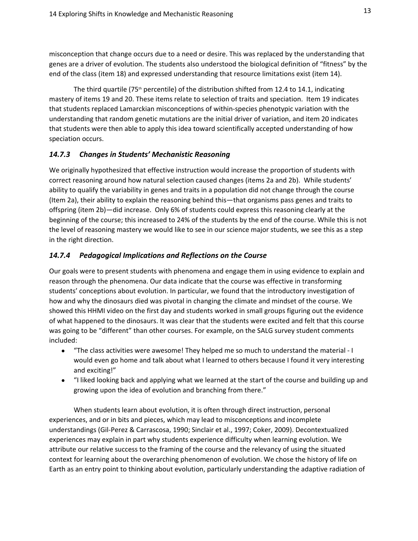misconception that change occurs due to a need or desire. This was replaced by the understanding that genes are a driver of evolution. The students also understood the biological definition of "fitness" by the end of the class (item 18) and expressed understanding that resource limitations exist (item 14).

The third quartile (75<sup>th</sup> percentile) of the distribution shifted from 12.4 to 14.1, indicating mastery of items 19 and 20. These items relate to selection of traits and speciation. Item 19 indicates that students replaced Lamarckian misconceptions of within-species phenotypic variation with the understanding that random genetic mutations are the initial driver of variation, and item 20 indicates that students were then able to apply this idea toward scientifically accepted understanding of how speciation occurs.

# *14.7.3 Changes in Students' Mechanistic Reasoning*

We originally hypothesized that effective instruction would increase the proportion of students with correct reasoning around how natural selection caused changes (items 2a and 2b). While students' ability to qualify the variability in genes and traits in a population did not change through the course (Item 2a), their ability to explain the reasoning behind this—that organisms pass genes and traits to offspring (item 2b)—did increase. Only 6% of students could express this reasoning clearly at the beginning of the course; this increased to 24% of the students by the end of the course. While this is not the level of reasoning mastery we would like to see in our science major students, we see this as a step in the right direction.

# *14.7.4 Pedagogical Implications and Reflections on the Course*

Our goals were to present students with phenomena and engage them in using evidence to explain and reason through the phenomena. Our data indicate that the course was effective in transforming students' conceptions about evolution. In particular, we found that the introductory investigation of how and why the dinosaurs died was pivotal in changing the climate and mindset of the course. We showed this HHMI video on the first day and students worked in small groups figuring out the evidence of what happened to the dinosaurs. It was clear that the students were excited and felt that this course was going to be "different" than other courses. For example, on the SALG survey student comments included:

- "The class activities were awesome! They helped me so much to understand the material I would even go home and talk about what I learned to others because I found it very interesting and exciting!"
- "I liked looking back and applying what we learned at the start of the course and building up and growing upon the idea of evolution and branching from there."

When students learn about evolution, it is often through direct instruction, personal experiences, and or in bits and pieces, which may lead to misconceptions and incomplete understandings (Gil-Perez & Carrascosa, 1990; Sinclair et al., 1997; Coker, 2009). Decontextualized experiences may explain in part why students experience difficulty when learning evolution. We attribute our relative success to the framing of the course and the relevancy of using the situated context for learning about the overarching phenomenon of evolution. We chose the history of life on Earth as an entry point to thinking about evolution, particularly understanding the adaptive radiation of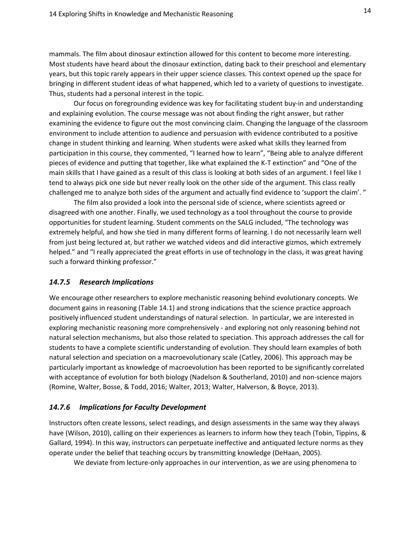mammals. The film about dinosaur extinction allowed for this content to become more interesting. Most students have heard about the dinosaur extinction, dating back to their preschool and elementary years, but this topic rarely appears in their upper science classes. This context opened up the space for bringing in different student ideas of what happened, which led to a variety of questions to investigate. Thus, students had a personal interest in the topic.

Our focus on foregrounding evidence was key for facilitating student buy-in and understanding and explaining evolution. The course message was not about finding the right answer, but rather examining the evidence to figure out the most convincing claim. Changing the language of the classroom environment to include attention to audience and persuasion with evidence contributed to a positive change in student thinking and learning. When students were asked what skills they learned from participation in this course, they commented, "I learned how to learn", "Being able to analyze different pieces of evidence and putting that together, like what explained the K-T extinction" and "One of the main skills that I have gained as a result of this class is looking at both sides of an argument. I feel like I tend to always pick one side but never really look on the other side of the argument. This class really challenged me to analyze both sides of the argument and actually find evidence to 'support the claim'. "

The film also provided a look into the personal side of science, where scientists agreed or disagreed with one another. Finally, we used technology as a tool throughout the course to provide opportunities for student learning. Student comments on the SALG included, "The technology was extremely helpful, and how she tied in many different forms of learning. I do not necessarily learn well from just being lectured at, but rather we watched videos and did interactive gizmos, which extremely helped." and "I really appreciated the great efforts in use of technology in the class, it was great having such a forward thinking professor."

#### *14.7.5 Research Implications*

We encourage other researchers to explore mechanistic reasoning behind evolutionary concepts. We document gains in reasoning (Table 14.1) and strong indications that the science practice approach positively influenced student understandings of natural selection. In particular, we are interested in exploring mechanistic reasoning more comprehensively - and exploring not only reasoning behind not natural selection mechanisms, but also those related to speciation. This approach addresses the call for students to have a complete scientific understanding of evolution. They should learn examples of both natural selection and speciation on a macroevolutionary scale (Catley, 2006). This approach may be particularly important as knowledge of macroevolution has been reported to be significantly correlated with acceptance of evolution for both biology (Nadelson & Southerland, 2010) and non-science majors (Romine, Walter, Bosse, & Todd, 2016; Walter, 2013; Walter, Halverson, & Boyce, 2013).

#### *14.7.6 Implications for Faculty Development*

Instructors often create lessons, select readings, and design assessments in the same way they always have (Wilson, 2010), calling on their experiences as learners to inform how they teach (Tobin, Tippins, & Gallard, 1994). In this way, instructors can perpetuate ineffective and antiquated lecture norms as they operate under the belief that teaching occurs by transmitting knowledge (DeHaan, 2005).

We deviate from lecture-only approaches in our intervention, as we are using phenomena to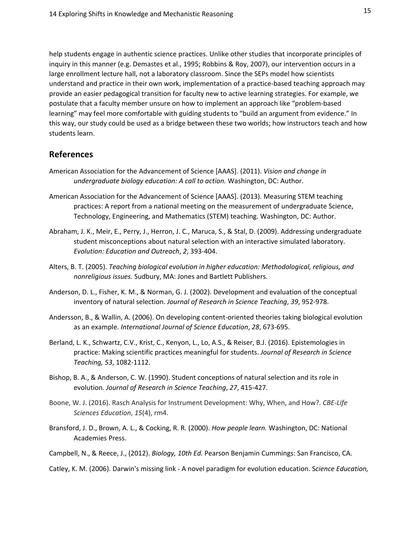help students engage in authentic science practices. Unlike other studies that incorporate principles of inquiry in this manner (e.g. Demastes et al., 1995; Robbins & Roy, 2007), our intervention occurs in a large enrollment lecture hall, not a laboratory classroom. Since the SEPs model how scientists understand and practice in their own work, implementation of a practice-based teaching approach may provide an easier pedagogical transition for faculty new to active learning strategies. For example, we postulate that a faculty member unsure on how to implement an approach like "problem-based learning" may feel more comfortable with guiding students to "build an argument from evidence." In this way, our study could be used as a bridge between these two worlds; how instructors teach and how students learn.

# **References**

- American Association for the Advancement of Science [AAAS]. (2011). *Vision and change in undergraduate biology education: A call to action.* Washington, DC: Author.
- American Association for the Advancement of Science [AAAS]. (2013). Measuring STEM teaching practices: A report from a national meeting on the measurement of undergraduate Science, Technology, Engineering, and Mathematics (STEM) teaching. Washington, DC: Author.
- Abraham, J. K., Meir, E., Perry, J., Herron, J. C., Maruca, S., & Stal, D. (2009). Addressing undergraduate student misconceptions about natural selection with an interactive simulated laboratory. *Evolution: Education and Outreach*, *2*, 393-404.
- Alters, B. T. (2005). *Teaching biological evolution in higher education: Methodological, religious, and nonreligious issues.* Sudbury, MA: Jones and Bartlett Publishers.
- Anderson, D. L., Fisher, K. M., & Norman, G. J. (2002). Development and evaluation of the conceptual inventory of natural selection. *Journal of Research in Science Teaching*, *39*, 952-978.
- Andersson, B., & Wallin, A. (2006). On developing content-oriented theories taking biological evolution as an example. *International Journal of Science Education*, *28*, 673-695.
- Berland, L. K., Schwartz, C.V., Krist, C., Kenyon, L., Lo, A.S., & Reiser, B.J. (2016). Epistemologies in practice: Making scientific practices meaningful for students. *Journal of Research in Science Teaching, 53*, 1082-1112.
- Bishop, B. A., & Anderson, C. W. (1990). Student conceptions of natural selection and its role in evolution. *Journal of Research in Science Teaching*, *27*, 415-427.
- Boone, W. J. (2016). Rasch Analysis for Instrument Development: Why, When, and How?. *CBE-Life Sciences Education*, *15*(4), rm4.
- Bransford, J. D., Brown, A. L., & Cocking, R. R. (2000). *How people learn.* Washington, DC: National Academies Press.
- Campbell, N., & Reece, J., (2012). *Biology, 10th Ed.* Pearson Benjamin Cummings: San Francisco, CA.
- Catley, K. M. (2006). Darwin's missing link A novel paradigm for evolution education. S*cience Education,*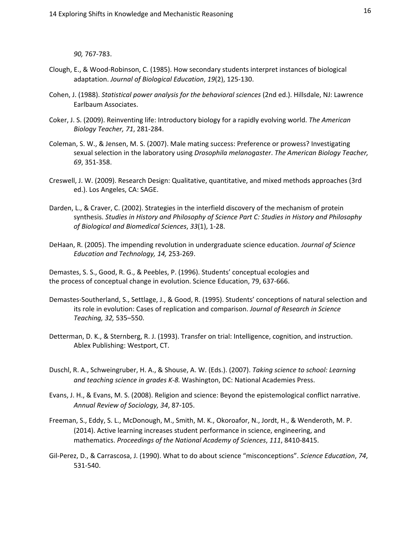*90,* 767-783.

- Clough, E., & Wood-Robinson, C. (1985). How secondary students interpret instances of biological adaptation. *Journal of Biological Education*, *19*(2), 125-130.
- Cohen, J. (1988). *Statistical power analysis for the behavioral sciences* (2nd ed.). Hillsdale, NJ: Lawrence Earlbaum Associates.
- Coker, J. S. (2009). Reinventing life: Introductory biology for a rapidly evolving world. *The American Biology Teacher, 71*, 281-284.
- Coleman, S. W., & Jensen, M. S. (2007). Male mating success: Preference or prowess? Investigating sexual selection in the laboratory using *Drosophila melanogaster*. *The American Biology Teacher, 69*, 351-358.
- Creswell, J. W. (2009). Research Design: Qualitative, quantitative, and mixed methods approaches (3rd ed.). Los Angeles, CA: SAGE.
- Darden, L., & Craver, C. (2002). Strategies in the interfield discovery of the mechanism of protein synthesis. *Studies in History and Philosophy of Science Part C: Studies in History and Philosophy of Biological and Biomedical Sciences*, *33*(1), 1-28.
- DeHaan, R. (2005). The impending revolution in undergraduate science education. *Journal of Science Education and Technology, 14,* 253-269.

Demastes, S. S., Good, R. G., & Peebles, P. (1996). Students' conceptual ecologies and the process of conceptual change in evolution. Science Education, 79, 637-666.

- Demastes-Southerland, S., Settlage, J., & Good, R. (1995). Students' conceptions of natural selection and its role in evolution: Cases of replication and comparison. *Journal of Research in Science Teaching, 32,* 535–550.
- Detterman, D. K., & Sternberg, R. J. (1993). Transfer on trial: Intelligence, cognition, and instruction. Ablex Publishing: Westport, CT.
- Duschl, R. A., Schweingruber, H. A., & Shouse, A. W. (Eds.). (2007). *Taking science to school: Learning and teaching science in grades K-8.* Washington, DC: National Academies Press.
- Evans, J. H., & Evans, M. S. (2008). Religion and science: Beyond the epistemological conflict narrative. *Annual Review of Sociology, 34*, 87-105.
- Freeman, S., Eddy, S. L., McDonough, M., Smith, M. K., Okoroafor, N., Jordt, H., & Wenderoth, M. P. (2014). Active learning increases student performance in science, engineering, and mathematics. *Proceedings of the National Academy of Sciences*, *111*, 8410-8415.
- Gil-Perez, D., & Carrascosa, J. (1990). What to do about science "misconceptions". *Science Education*, *74*, 531-540.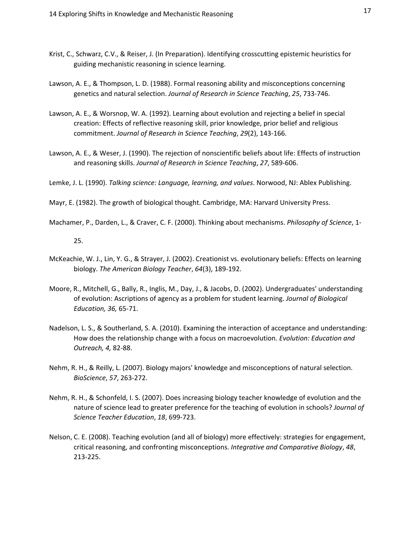- Krist, C., Schwarz, C.V., & Reiser, J. (In Preparation). Identifying crosscutting epistemic heuristics for guiding mechanistic reasoning in science learning.
- Lawson, A. E., & Thompson, L. D. (1988). Formal reasoning ability and misconceptions concerning genetics and natural selection. *Journal of Research in Science Teaching*, *25*, 733-746.
- Lawson, A. E., & Worsnop, W. A. (1992). Learning about evolution and rejecting a belief in special creation: Effects of reflective reasoning skill, prior knowledge, prior belief and religious commitment. *Journal of Research in Science Teaching*, *29*(2), 143-166.
- Lawson, A. E., & Weser, J. (1990). The rejection of nonscientific beliefs about life: Effects of instruction and reasoning skills. *Journal of Research in Science Teaching*, *27*, 589-606.
- Lemke, J. L. (1990). *Talking science: Language, learning, and values*. Norwood, NJ: Ablex Publishing.
- Mayr, E. (1982). The growth of biological thought. Cambridge, MA: Harvard University Press.
- Machamer, P., Darden, L., & Craver, C. F. (2000). Thinking about mechanisms. *Philosophy of Science*, 1-

#### 25.

- McKeachie, W. J., Lin, Y. G., & Strayer, J. (2002). Creationist vs. evolutionary beliefs: Effects on learning biology. *The American Biology Teacher*, *64*(3), 189-192.
- Moore, R., Mitchell, G., Bally, R., Inglis, M., Day, J., & Jacobs, D. (2002). Undergraduates' understanding of evolution: Ascriptions of agency as a problem for student learning. *Journal of Biological Education, 36,* 65-71.
- Nadelson, L. S., & Southerland, S. A. (2010). Examining the interaction of acceptance and understanding: How does the relationship change with a focus on macroevolution. *Evolution: Education and Outreach, 4,* 82-88.
- Nehm, R. H., & Reilly, L. (2007). Biology majors' knowledge and misconceptions of natural selection. *BioScience*, *57*, 263-272.
- Nehm, R. H., & Schonfeld, I. S. (2007). Does increasing biology teacher knowledge of evolution and the nature of science lead to greater preference for the teaching of evolution in schools? *Journal of Science Teacher Education*, *18*, 699-723.
- Nelson, C. E. (2008). Teaching evolution (and all of biology) more effectively: strategies for engagement, critical reasoning, and confronting misconceptions. *Integrative and Comparative Biology*, *48*, 213-225.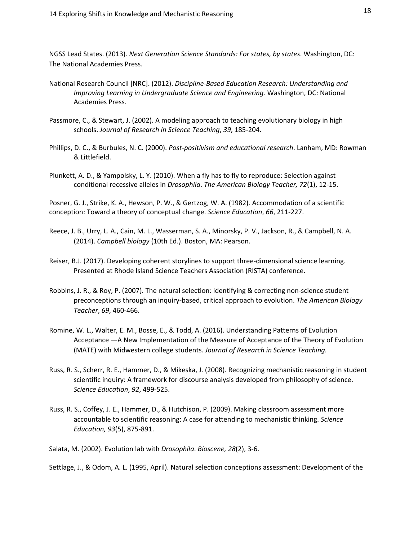NGSS Lead States. (2013). *Next Generation Science Standards: For states, by states*. Washington, DC: The National Academies Press.

- National Research Council [NRC]. (2012). *Discipline-Based Education Research: Understanding and Improving Learning in Undergraduate Science and Engineering.* Washington, DC: National Academies Press.
- Passmore, C., & Stewart, J. (2002). A modeling approach to teaching evolutionary biology in high schools. *Journal of Research in Science Teaching*, *39*, 185-204.
- Phillips, D. C., & Burbules, N. C. (2000). *Post-positivism and educational research*. Lanham, MD: Rowman & Littlefield.
- Plunkett, A. D., & Yampolsky, L. Y. (2010). When a fly has to fly to reproduce: Selection against conditional recessive alleles in *Drosophila*. *The American Biology Teacher, 72*(1), 12-15.

Posner, G. J., Strike, K. A., Hewson, P. W., & Gertzog, W. A. (1982). Accommodation of a scientific conception: Toward a theory of conceptual change. *Science Education*, *66*, 211-227.

- Reece, J. B., Urry, L. A., Cain, M. L., Wasserman, S. A., Minorsky, P. V., Jackson, R., & Campbell, N. A. (2014). *Campbell biology* (10th Ed.). Boston, MA: Pearson.
- Reiser, B.J. (2017). Developing coherent storylines to support three-dimensional science learning. Presented at Rhode Island Science Teachers Association (RISTA) conference.
- Robbins, J. R., & Roy, P. (2007). The natural selection: identifying & correcting non-science student preconceptions through an inquiry-based, critical approach to evolution. *The American Biology Teacher*, *69*, 460-466.
- Romine, W. L., Walter, E. M., Bosse, E., & Todd, A. (2016). Understanding Patterns of Evolution Acceptance —A New Implementation of the Measure of Acceptance of the Theory of Evolution (MATE) with Midwestern college students. *Journal of Research in Science Teaching.*
- Russ, R. S., Scherr, R. E., Hammer, D., & Mikeska, J. (2008). Recognizing mechanistic reasoning in student scientific inquiry: A framework for discourse analysis developed from philosophy of science. *Science Education*, *92*, 499-525.
- Russ, R. S., Coffey, J. E., Hammer, D., & Hutchison, P. (2009). Making classroom assessment more accountable to scientific reasoning: A case for attending to mechanistic thinking. *Science Education, 93*(5), 875-891.
- Salata, M. (2002). Evolution lab with *Drosophila*. *Bioscene, 28*(2), 3-6.

Settlage, J., & Odom, A. L. (1995, April). Natural selection conceptions assessment: Development of the